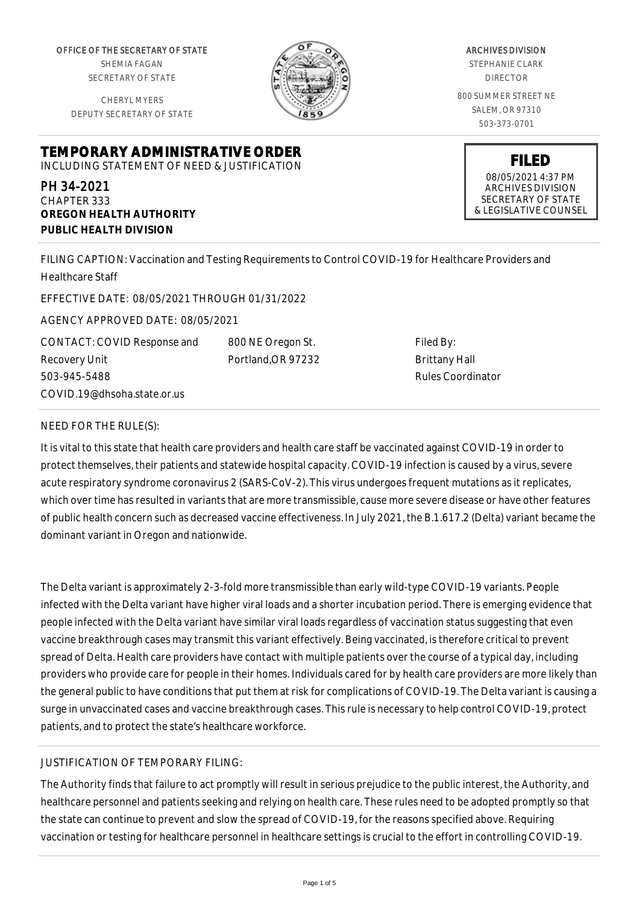OFFICE OF THE SECRETARY OF STATE SHEMIA FAGAN

SECRETARY OF STATE

CHERYL MYERS DEPUTY SECRETARY OF STATE

**TEMPORARY ADMINISTRATIVE ORDER** INCLUDING STATEMENT OF NEED & JUSTIFICATION

PH 34-2021 CHAPTER 333 **OREGON HEALTH AUTHORITY PUBLIC HEALTH DIVISION**

ARCHIVES DIVISION STEPHANIE CLARK

Filed By: Brittany Hall Rules Coordinator

DIRECTOR 800 SUMMER STREET NE SALEM, OR 97310 503-373-0701

> **FILED** 08/05/2021 4:37 PM ARCHIVES DIVISION SECRETARY OF STATE & LEGISLATIVE COUNSEL

FILING CAPTION: Vaccination and Testing Requirements to Control COVID-19 for Healthcare Providers and Healthcare Staff

> 800 NE Oregon St. Portland,OR 97232

EFFECTIVE DATE: 08/05/2021 THROUGH 01/31/2022

AGENCY APPROVED DATE: 08/05/2021

CONTACT: COVID Response and Recovery Unit 503-945-5488 COVID.19@dhsoha.state.or.us

NEED FOR THE RULE(S):

It is vital to this state that health care providers and health care staff be vaccinated against COVID-19 in order to protect themselves, their patients and statewide hospital capacity. COVID-19 infection is caused by a virus, severe acute respiratory syndrome coronavirus 2 (SARS-CoV-2). This virus undergoes frequent mutations as it replicates, which over time has resulted in variants that are more transmissible, cause more severe disease or have other features of public health concern such as decreased vaccine effectiveness. In July 2021, the B.1.617.2 (Delta) variant became the dominant variant in Oregon and nationwide.

The Delta variant is approximately 2-3-fold more transmissible than early wild-type COVID-19 variants. People infected with the Delta variant have higher viral loads and a shorter incubation period. There is emerging evidence that people infected with the Delta variant have similar viral loads regardless of vaccination status suggesting that even vaccine breakthrough cases may transmit this variant effectively. Being vaccinated, is therefore critical to prevent spread of Delta. Health care providers have contact with multiple patients over the course of a typical day, including providers who provide care for people in their homes. Individuals cared for by health care providers are more likely than the general public to have conditions that put them at risk for complications of COVID-19. The Delta variant is causing a surge in unvaccinated cases and vaccine breakthrough cases. This rule is necessary to help control COVID-19, protect patients, and to protect the state's healthcare workforce.

## JUSTIFICATION OF TEMPORARY FILING:

The Authority finds that failure to act promptly will result in serious prejudice to the public interest, the Authority, and healthcare personnel and patients seeking and relying on health care. These rules need to be adopted promptly so that the state can continue to prevent and slow the spread of COVID-19, for the reasons specified above. Requiring vaccination or testing for healthcare personnel in healthcare settings is crucial to the effort in controlling COVID-19.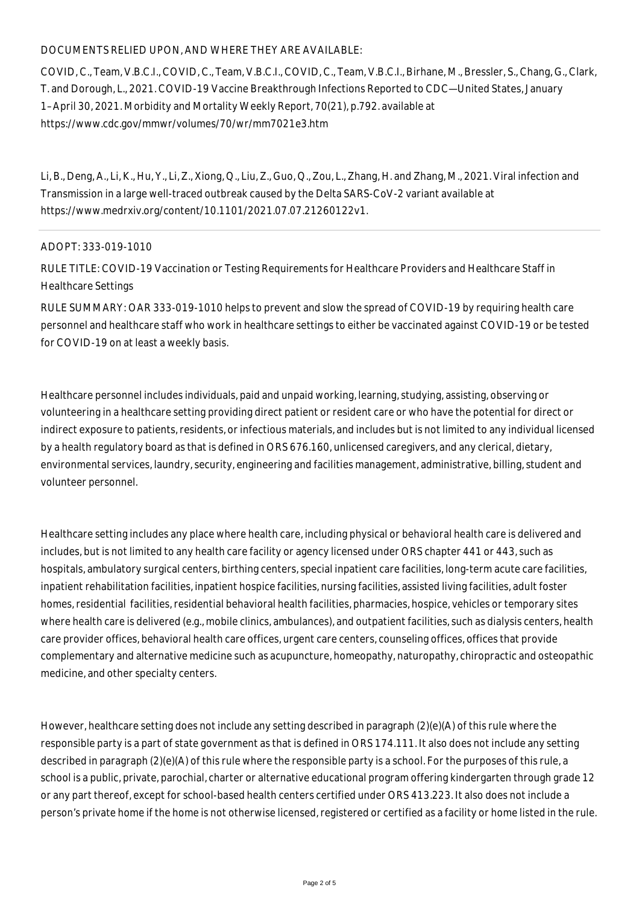## DOCUMENTS RELIED UPON, AND WHERE THEY ARE AVAILABLE:

COVID, C., Team, V.B.C.I., COVID, C., Team, V.B.C.I., COVID, C., Team, V.B.C.I., Birhane, M., Bressler, S., Chang, G., Clark, T. and Dorough, L., 2021. COVID-19 Vaccine Breakthrough Infections Reported to CDC—United States, January 1–April 30, 2021. Morbidity and Mortality Weekly Report, 70(21), p.792. available at https://www.cdc.gov/mmwr/volumes/70/wr/mm7021e3.htm

Li, B., Deng, A., Li, K., Hu, Y., Li, Z., Xiong, Q., Liu, Z., Guo, Q., Zou, L., Zhang, H. and Zhang, M., 2021. Viral infection and Transmission in a large well-traced outbreak caused by the Delta SARS-CoV-2 variant available at https://www.medrxiv.org/content/10.1101/2021.07.07.21260122v1.

## ADOPT: 333-019-1010

RULE TITLE: COVID-19 Vaccination or Testing Requirements for Healthcare Providers and Healthcare Staff in Healthcare Settings

RULE SUMMARY: OAR 333-019-1010 helps to prevent and slow the spread of COVID-19 by requiring health care personnel and healthcare staff who work in healthcare settings to either be vaccinated against COVID-19 or be tested for COVID-19 on at least a weekly basis.

Healthcare personnel includes individuals, paid and unpaid working, learning, studying, assisting, observing or volunteering in a healthcare setting providing direct patient or resident care or who have the potential for direct or indirect exposure to patients, residents, or infectious materials, and includes but is not limited to any individual licensed by a health regulatory board as that is defined in ORS 676.160, unlicensed caregivers, and any clerical, dietary, environmental services, laundry, security, engineering and facilities management, administrative, billing, student and volunteer personnel.

Healthcare setting includes any place where health care, including physical or behavioral health care is delivered and includes, but is not limited to any health care facility or agency licensed under ORS chapter 441 or 443, such as hospitals, ambulatory surgical centers, birthing centers, special inpatient care facilities, long-term acute care facilities, inpatient rehabilitation facilities, inpatient hospice facilities, nursing facilities, assisted living facilities, adult foster homes, residential facilities, residential behavioral health facilities, pharmacies, hospice, vehicles or temporary sites where health care is delivered (e.g., mobile clinics, ambulances), and outpatient facilities, such as dialysis centers, health care provider offices, behavioral health care offices, urgent care centers, counseling offices, offices that provide complementary and alternative medicine such as acupuncture, homeopathy, naturopathy, chiropractic and osteopathic medicine, and other specialty centers.

However, healthcare setting does not include any setting described in paragraph (2)(e)(A) of this rule where the responsible party is a part of state government as that is defined in ORS 174.111. It also does not include any setting described in paragraph (2)(e)(A) of this rule where the responsible party is a school. For the purposes of this rule, a school is a public, private, parochial, charter or alternative educational program offering kindergarten through grade 12 or any part thereof, except for school-based health centers certified under ORS 413.223. It also does not include a person's private home if the home is not otherwise licensed, registered or certified as a facility or home listed in the rule.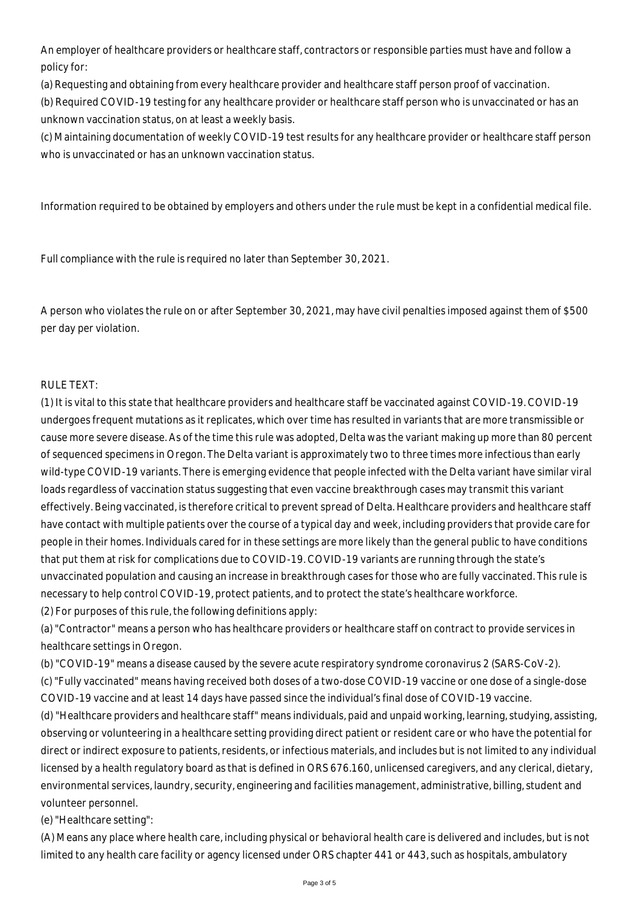An employer of healthcare providers or healthcare staff, contractors or responsible parties must have and follow a policy for:

(a) Requesting and obtaining from every healthcare provider and healthcare staff person proof of vaccination.

(b) Required COVID-19 testing for any healthcare provider or healthcare staff person who is unvaccinated or has an unknown vaccination status, on at least a weekly basis.

(c) Maintaining documentation of weekly COVID-19 test results for any healthcare provider or healthcare staff person who is unvaccinated or has an unknown vaccination status.

Information required to be obtained by employers and others under the rule must be kept in a confidential medical file.

Full compliance with the rule is required no later than September 30, 2021.

A person who violates the rule on or after September 30, 2021, may have civil penalties imposed against them of \$500 per day per violation.

## RULE TEXT:

(1) It is vital to this state that healthcare providers and healthcare staff be vaccinated against COVID-19. COVID-19 undergoes frequent mutations as it replicates, which over time has resulted in variants that are more transmissible or cause more severe disease. As of the time this rule was adopted, Delta was the variant making up more than 80 percent of sequenced specimens in Oregon. The Delta variant is approximately two to three times more infectious than early wild-type COVID-19 variants. There is emerging evidence that people infected with the Delta variant have similar viral loads regardless of vaccination status suggesting that even vaccine breakthrough cases may transmit this variant effectively. Being vaccinated, is therefore critical to prevent spread of Delta. Healthcare providers and healthcare staff have contact with multiple patients over the course of a typical day and week, including providers that provide care for people in their homes. Individuals cared for in these settings are more likely than the general public to have conditions that put them at risk for complications due to COVID-19. COVID-19 variants are running through the state's unvaccinated population and causing an increase in breakthrough cases for those who are fully vaccinated. This rule is necessary to help control COVID-19, protect patients, and to protect the state's healthcare workforce. (2) For purposes of this rule, the following definitions apply:

(a) "Contractor" means a person who has healthcare providers or healthcare staff on contract to provide services in healthcare settings in Oregon.

(b) "COVID-19" means a disease caused by the severe acute respiratory syndrome coronavirus 2 (SARS-CoV-2).

(c) "Fully vaccinated" means having received both doses of a two-dose COVID-19 vaccine or one dose of a single-dose COVID-19 vaccine and at least 14 days have passed since the individual's final dose of COVID-19 vaccine.

(d) "Healthcare providers and healthcare staff" means individuals, paid and unpaid working, learning, studying, assisting, observing or volunteering in a healthcare setting providing direct patient or resident care or who have the potential for direct or indirect exposure to patients, residents, or infectious materials, and includes but is not limited to any individual licensed by a health regulatory board as that is defined in ORS 676.160, unlicensed caregivers, and any clerical, dietary, environmental services, laundry, security, engineering and facilities management, administrative, billing, student and volunteer personnel.

(e) "Healthcare setting":

(A) Means any place where health care, including physical or behavioral health care is delivered and includes, but is not limited to any health care facility or agency licensed under ORS chapter 441 or 443, such as hospitals, ambulatory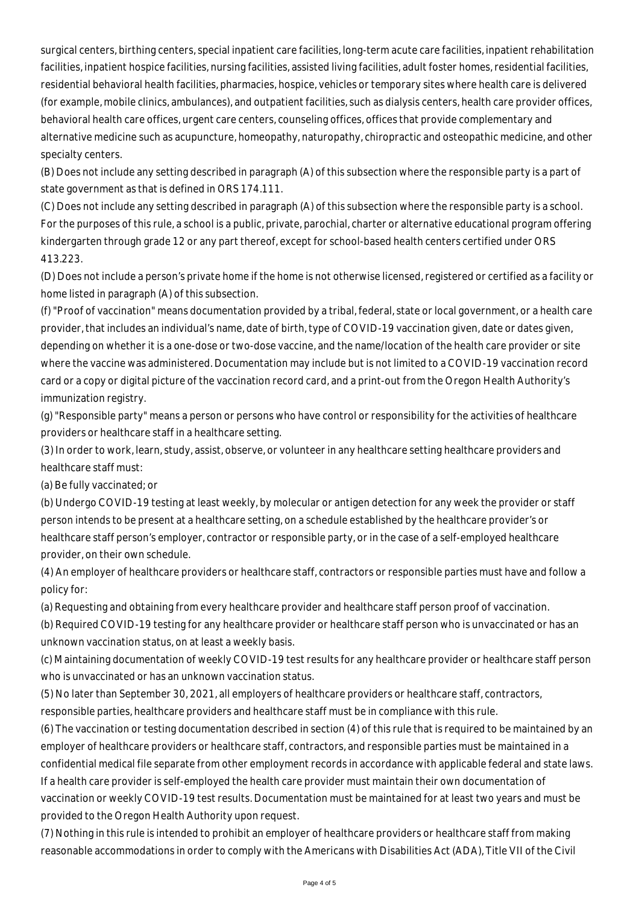surgical centers, birthing centers, special inpatient care facilities, long-term acute care facilities, inpatient rehabilitation facilities, inpatient hospice facilities, nursing facilities, assisted living facilities, adult foster homes, residential facilities, residential behavioral health facilities, pharmacies, hospice, vehicles or temporary sites where health care is delivered (for example, mobile clinics, ambulances), and outpatient facilities, such as dialysis centers, health care provider offices, behavioral health care offices, urgent care centers, counseling offices, offices that provide complementary and alternative medicine such as acupuncture, homeopathy, naturopathy, chiropractic and osteopathic medicine, and other specialty centers.

(B) Does not include any setting described in paragraph (A) of this subsection where the responsible party is a part of state government as that is defined in ORS 174.111.

(C) Does not include any setting described in paragraph (A) of this subsection where the responsible party is a school. For the purposes of this rule, a school is a public, private, parochial, charter or alternative educational program offering kindergarten through grade 12 or any part thereof, except for school-based health centers certified under ORS 413.223.

(D) Does not include a person's private home if the home is not otherwise licensed, registered or certified as a facility or home listed in paragraph (A) of this subsection.

(f) "Proof of vaccination" means documentation provided by a tribal, federal, state or local government, or a health care provider, that includes an individual's name, date of birth, type of COVID-19 vaccination given, date or dates given, depending on whether it is a one-dose or two-dose vaccine, and the name/location of the health care provider or site where the vaccine was administered. Documentation may include but is not limited to a COVID-19 vaccination record card or a copy or digital picture of the vaccination record card, and a print-out from the Oregon Health Authority's immunization registry.

(g) "Responsible party" means a person or persons who have control or responsibility for the activities of healthcare providers or healthcare staff in a healthcare setting.

(3) In order to work, learn, study, assist, observe, or volunteer in any healthcare setting healthcare providers and healthcare staff must:

(a) Be fully vaccinated; or

(b) Undergo COVID-19 testing at least weekly, by molecular or antigen detection for any week the provider or staff person intends to be present at a healthcare setting, on a schedule established by the healthcare provider's or healthcare staff person's employer, contractor or responsible party, or in the case of a self-employed healthcare provider, on their own schedule.

(4) An employer of healthcare providers or healthcare staff, contractors or responsible parties must have and follow a policy for:

(a) Requesting and obtaining from every healthcare provider and healthcare staff person proof of vaccination.

(b) Required COVID-19 testing for any healthcare provider or healthcare staff person who is unvaccinated or has an unknown vaccination status, on at least a weekly basis.

(c) Maintaining documentation of weekly COVID-19 test results for any healthcare provider or healthcare staff person who is unvaccinated or has an unknown vaccination status.

(5) No later than September 30, 2021, all employers of healthcare providers or healthcare staff, contractors,

responsible parties, healthcare providers and healthcare staff must be in compliance with this rule.

(6) The vaccination or testing documentation described in section (4) of this rule that is required to be maintained by an employer of healthcare providers or healthcare staff, contractors, and responsible parties must be maintained in a confidential medical file separate from other employment records in accordance with applicable federal and state laws. If a health care provider is self-employed the health care provider must maintain their own documentation of vaccination or weekly COVID-19 test results. Documentation must be maintained for at least two years and must be provided to the Oregon Health Authority upon request.

(7) Nothing in this rule is intended to prohibit an employer of healthcare providers or healthcare staff from making reasonable accommodations in order to comply with the Americans with Disabilities Act (ADA), Title VII of the Civil